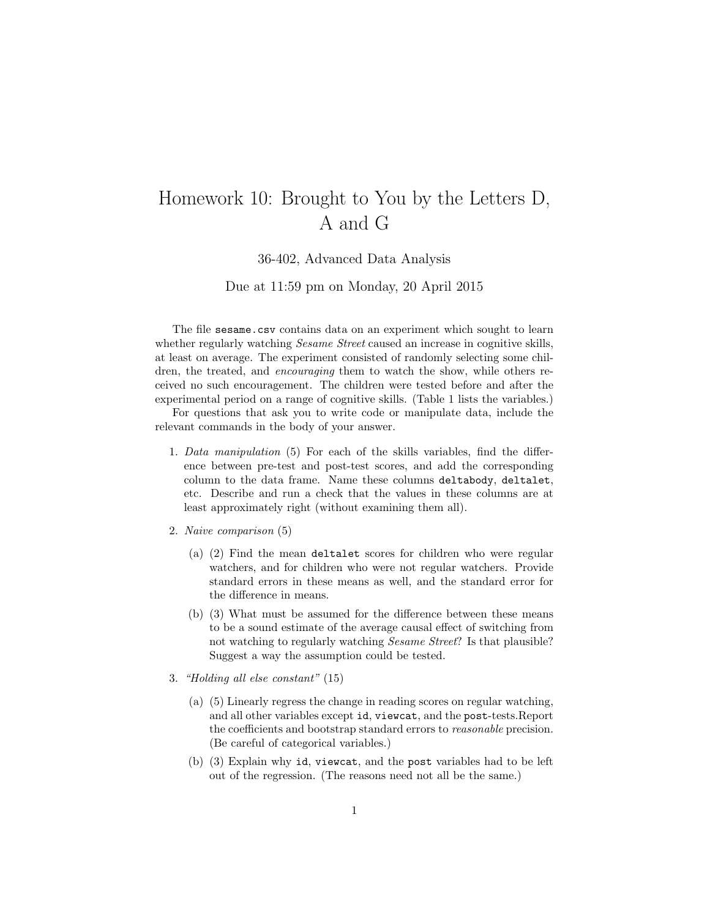## Homework 10: Brought to You by the Letters D, A and G

36-402, Advanced Data Analysis

Due at 11:59 pm on Monday, 20 April 2015

The file sesame.csv contains data on an experiment which sought to learn whether regularly watching *Sesame Street* caused an increase in cognitive skills, at least on average. The experiment consisted of randomly selecting some children, the treated, and *encouraging* them to watch the show, while others received no such encouragement. The children were tested before and after the experimental period on a range of cognitive skills. (Table 1 lists the variables.)

For questions that ask you to write code or manipulate data, include the relevant commands in the body of your answer.

- 1. Data manipulation (5) For each of the skills variables, find the difference between pre-test and post-test scores, and add the corresponding column to the data frame. Name these columns deltabody, deltalet, etc. Describe and run a check that the values in these columns are at least approximately right (without examining them all).
- 2. Naive comparison (5)
	- (a) (2) Find the mean deltalet scores for children who were regular watchers, and for children who were not regular watchers. Provide standard errors in these means as well, and the standard error for the difference in means.
	- (b) (3) What must be assumed for the difference between these means to be a sound estimate of the average causal effect of switching from not watching to regularly watching *Sesame Street*? Is that plausible? Suggest a way the assumption could be tested.
- 3. "Holding all else constant" (15)
	- (a) (5) Linearly regress the change in reading scores on regular watching, and all other variables except id, viewcat, and the post-tests.Report the coefficients and bootstrap standard errors to reasonable precision. (Be careful of categorical variables.)
	- (b) (3) Explain why id, viewcat, and the post variables had to be left out of the regression. (The reasons need not all be the same.)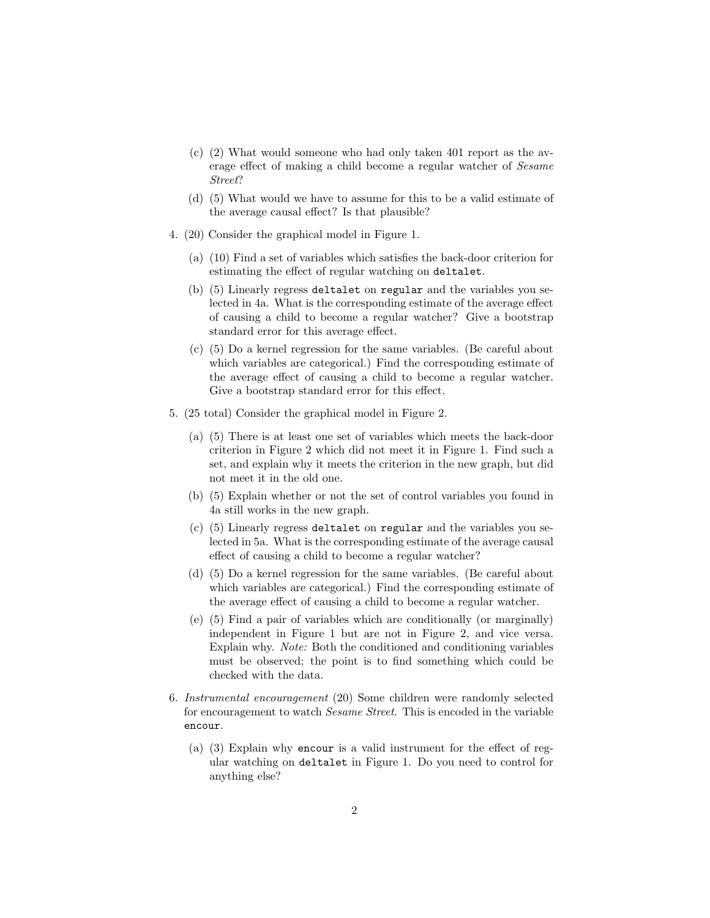- (c) (2) What would someone who had only taken 401 report as the average effect of making a child become a regular watcher of Sesame Street?
- (d) (5) What would we have to assume for this to be a valid estimate of the average causal effect? Is that plausible?
- 4. (20) Consider the graphical model in Figure 1.
	- (a) (10) Find a set of variables which satisfies the back-door criterion for estimating the effect of regular watching on deltalet.
	- (b) (5) Linearly regress deltalet on regular and the variables you selected in 4a. What is the corresponding estimate of the average effect of causing a child to become a regular watcher? Give a bootstrap standard error for this average effect.
	- (c) (5) Do a kernel regression for the same variables. (Be careful about which variables are categorical.) Find the corresponding estimate of the average effect of causing a child to become a regular watcher. Give a bootstrap standard error for this effect.
- 5. (25 total) Consider the graphical model in Figure 2.
	- (a) (5) There is at least one set of variables which meets the back-door criterion in Figure 2 which did not meet it in Figure 1. Find such a set, and explain why it meets the criterion in the new graph, but did not meet it in the old one.
	- (b) (5) Explain whether or not the set of control variables you found in 4a still works in the new graph.
	- (c) (5) Linearly regress deltalet on regular and the variables you selected in 5a. What is the corresponding estimate of the average causal effect of causing a child to become a regular watcher?
	- (d) (5) Do a kernel regression for the same variables. (Be careful about which variables are categorical.) Find the corresponding estimate of the average effect of causing a child to become a regular watcher.
	- (e) (5) Find a pair of variables which are conditionally (or marginally) independent in Figure 1 but are not in Figure 2, and vice versa. Explain why. Note: Both the conditioned and conditioning variables must be observed; the point is to find something which could be checked with the data.
- 6. Instrumental encouragement (20) Some children were randomly selected for encouragement to watch Sesame Street. This is encoded in the variable encour.
	- (a) (3) Explain why encour is a valid instrument for the effect of regular watching on deltalet in Figure 1. Do you need to control for anything else?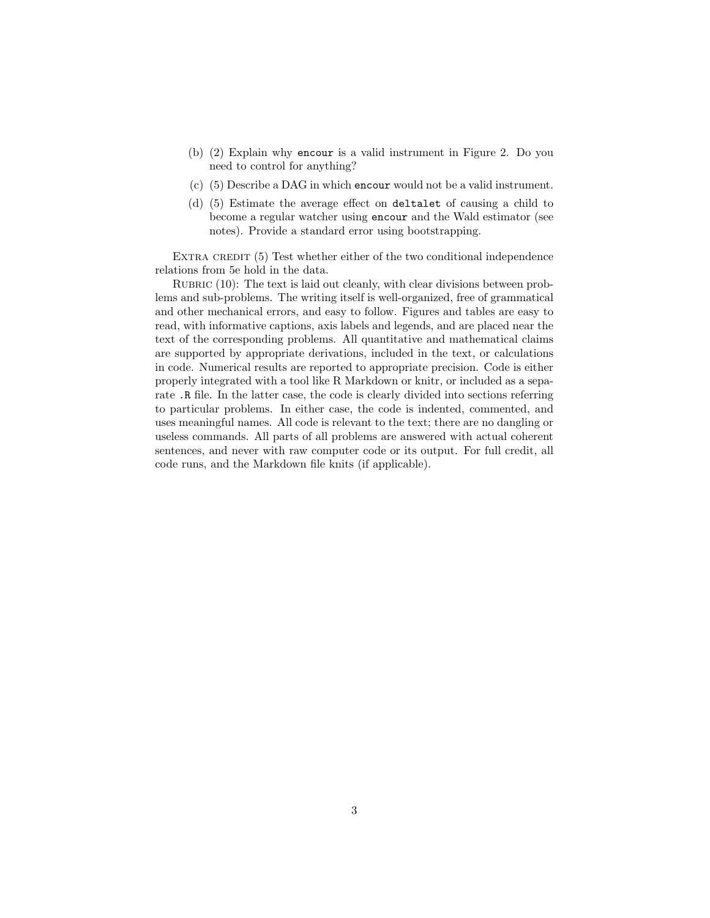- (b) (2) Explain why encour is a valid instrument in Figure 2. Do you need to control for anything?
- (c) (5) Describe a DAG in which encour would not be a valid instrument.
- (d) (5) Estimate the average effect on deltalet of causing a child to become a regular watcher using encour and the Wald estimator (see notes). Provide a standard error using bootstrapping.

EXTRA CREDIT  $(5)$  Test whether either of the two conditional independence relations from 5e hold in the data.

RUBRIC  $(10)$ : The text is laid out cleanly, with clear divisions between problems and sub-problems. The writing itself is well-organized, free of grammatical and other mechanical errors, and easy to follow. Figures and tables are easy to read, with informative captions, axis labels and legends, and are placed near the text of the corresponding problems. All quantitative and mathematical claims are supported by appropriate derivations, included in the text, or calculations in code. Numerical results are reported to appropriate precision. Code is either properly integrated with a tool like R Markdown or knitr, or included as a separate .R file. In the latter case, the code is clearly divided into sections referring to particular problems. In either case, the code is indented, commented, and uses meaningful names. All code is relevant to the text; there are no dangling or useless commands. All parts of all problems are answered with actual coherent sentences, and never with raw computer code or its output. For full credit, all code runs, and the Markdown file knits (if applicable).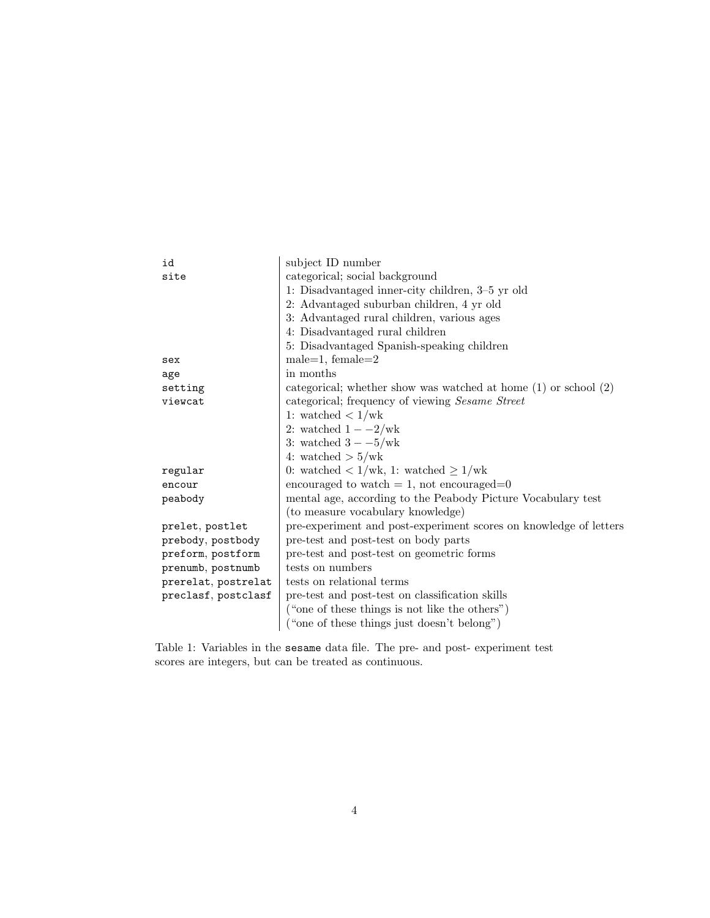| id                  | subject ID number                                                   |
|---------------------|---------------------------------------------------------------------|
| site                | categorical; social background                                      |
|                     | 1: Disadvantaged inner-city children, 3-5 yr old                    |
|                     | 2: Advantaged suburban children, 4 yr old                           |
|                     | 3: Advantaged rural children, various ages                          |
|                     | 4: Disadvantaged rural children                                     |
|                     | 5: Disadvantaged Spanish-speaking children                          |
| sex                 | $male=1, female=2$                                                  |
| age                 | in months                                                           |
| setting             | categorical; whether show was watched at home $(1)$ or school $(2)$ |
| viewcat             | categorical; frequency of viewing Sesame Street                     |
|                     | 1: watched $\langle 1/wk \rangle$                                   |
|                     | 2: watched $1 - -2$ /wk                                             |
|                     | 3: watched $3 - -5$ /wk                                             |
|                     | 4: watched $> 5$ /wk                                                |
| regular             | 0: watched $\langle 1/wk, 1:$ watched $\geq 1/wk$                   |
| encour              | encouraged to watch $= 1$ , not encouraged=0                        |
| peabody             | mental age, according to the Peabody Picture Vocabulary test        |
|                     | (to measure vocabulary knowledge)                                   |
| prelet, postlet     | pre-experiment and post-experiment scores on knowledge of letters   |
| prebody, postbody   | pre-test and post-test on body parts                                |
| preform, postform   | pre-test and post-test on geometric forms                           |
| prenumb, postnumb   | tests on numbers                                                    |
| prerelat, postrelat | tests on relational terms                                           |
| preclasf, postclasf | pre-test and post-test on classification skills                     |
|                     | ("one of these things is not like the others")                      |
|                     | ("one of these things just doesn't belong")                         |

Table 1: Variables in the sesame data file. The pre- and post- experiment test scores are integers, but can be treated as continuous.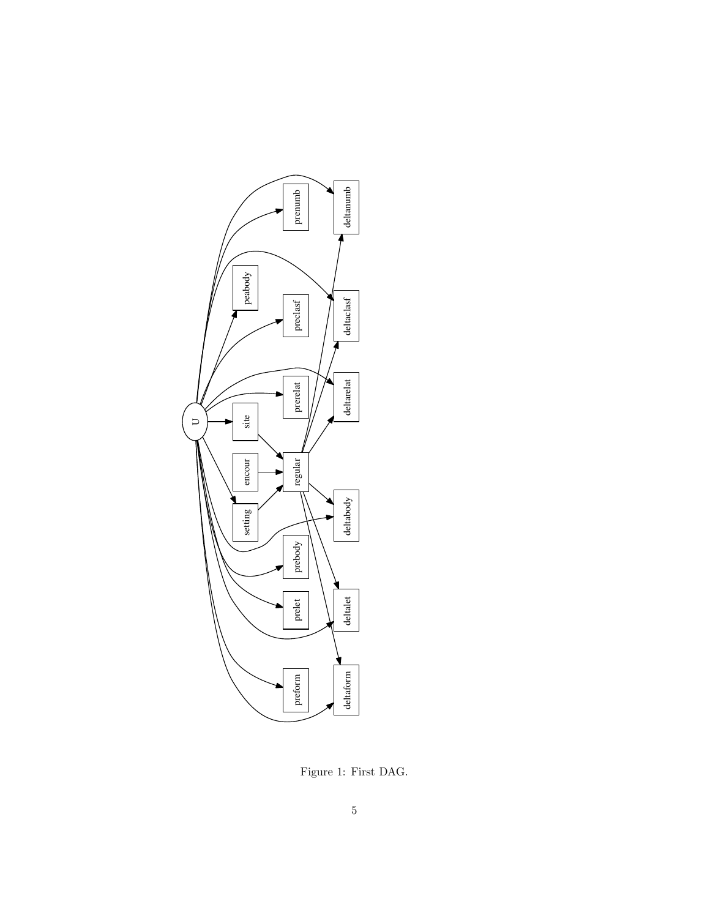

Figure 1: First DAG.